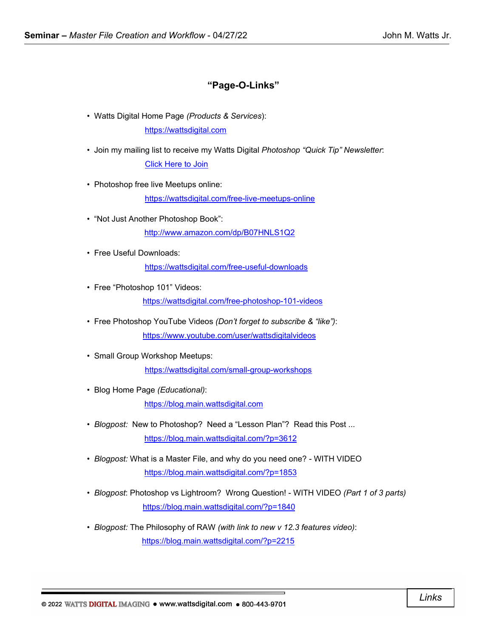# **"Page-O-Links"**

- Watts Digital Home Page *(Products & Services*): [https://wattsdigital.com](https://wattsdigital.com/)
- Join my mailing list to receive my Watts Digital *Photoshop "Quick Tip" Newsletter*: [Click Here to Join](https://visitor.r20.constantcontact.com/manage/optin?v=0016DNjNiidDhRwYuGZFNAxcASo2U_gpD08)
- Photoshop free live Meetups online:

<https://wattsdigital.com/free-live-meetups-online>

- "Not Just Another Photoshop Book": <http://www.amazon.com/dp/B07HNLS1Q2>
- Free Useful Downloads:

<https://wattsdigital.com/free-useful-downloads>

• Free "Photoshop 101" Videos:

<https://wattsdigital.com/free-photoshop-101-videos>

- Free Photoshop YouTube Videos *(Don't forget to subscribe & "like")*: <https://www.youtube.com/user/wattsdigitalvideos>
- Small Group Workshop Meetups:

<https://wattsdigital.com/small-group-workshops>

• Blog Home Page *(Educational)*:

[https://blog.main.wattsdigital.com](https://blog.main.wattsdigital.com/)

- *Blogpost:* New to Photoshop? Need a "Lesson Plan"? Read this Post ... <https://blog.main.wattsdigital.com/?p=3612>
- *Blogpost:* What is a Master File, and why do you need one? WITH VIDEO <https://blog.main.wattsdigital.com/?p=1853>
- *Blogpost*: Photoshop vs Lightroom? Wrong Question! WITH VIDEO *(Part 1 of 3 parts)* <https://blog.main.wattsdigital.com/?p=1840>
- *Blogpost:* The Philosophy of RAW *(with link to new v 12.3 features video)*: <https://blog.main.wattsdigital.com/?p=2215>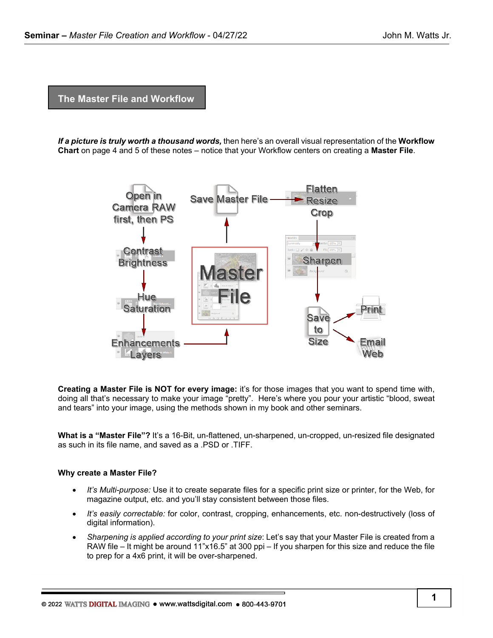**The Master File and Workflow**

*If a picture is truly worth a thousand words,* then here's an overall visual representation of the **Workflow Chart** on page 4 and 5 of these notes – notice that your Workflow centers on creating a **Master File**.



**Creating a Master File is NOT for every image:** it's for those images that you want to spend time with, doing all that's necessary to make your image "pretty". Here's where you pour your artistic "blood, sweat and tears" into your image, using the methods shown in my book and other seminars.

**What is a "Master File"?** It's a 16-Bit, un-flattened, un-sharpened, un-cropped, un-resized file designated as such in its file name, and saved as a .PSD or .TIFF.

#### **Why create a Master File?**

- *It's Multi-purpose:* Use it to create separate files for a specific print size or printer, for the Web, for magazine output, etc. and you'll stay consistent between those files.
- *It's easily correctable:* for color, contrast, cropping, enhancements, etc. non-destructively (loss of digital information).
- *Sharpening is applied according to your print size*: Let's say that your Master File is created from a RAW file – It might be around 11"x16.5" at 300 ppi – If you sharpen for this size and reduce the file to prep for a 4x6 print, it will be over-sharpened.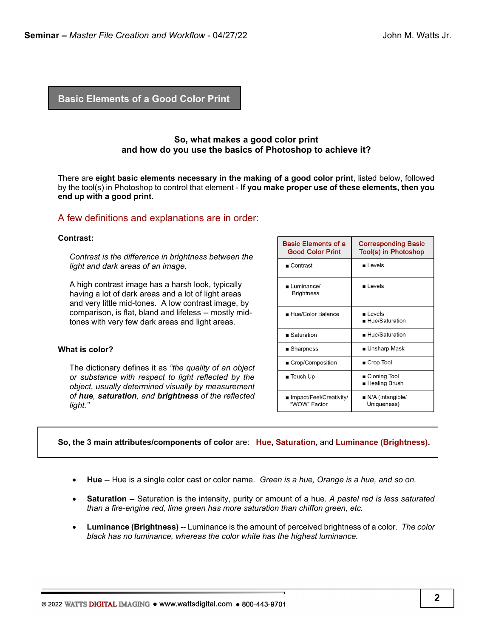## **Basic Elements of a Good Color Print**

## **So, what makes a good color print and how do you use the basics of Photoshop to achieve it?**

There are **eight basic elements necessary in the making of a good color print**, listed below, followed by the tool(s) in Photoshop to control that element - I**f you make proper use of these elements, then you end up with a good print.**

## A few definitions and explanations are in order:

#### **Contrast:**

*Contrast is the difference in brightness between the light and dark areas of an image.*

A high contrast image has a harsh look, typically having a lot of dark areas and a lot of light areas and very little mid-tones. A low contrast image, by comparison, is flat, bland and lifeless -- mostly midtones with very few dark areas and light areas.

#### **What is color?**

The dictionary defines it as *"the quality of an object or substance with respect to light reflected by the object, usually determined visually by measurement of hue, saturation, and brightness of the reflected light."*

| <b>Basic Elements of a</b><br><b>Good Color Print</b> | <b>Corresponding Basic</b><br>Tool(s) in Photoshop |
|-------------------------------------------------------|----------------------------------------------------|
| $\blacksquare$ Contrast                               | $\blacksquare$ Levels                              |
| Luminance/<br><b>Brightness</b>                       | l evels                                            |
| ■ Hue/Color Balance                                   | ∎ Levels<br>■ Hue/Saturation                       |
| $\blacksquare$ Saturation                             | $\blacksquare$ Hue/Saturation                      |
| ■ Sharpness                                           | ∎ Unsharp Mask                                     |
| ■ Crop/Composition                                    | ■ Crop Tool                                        |
| $\blacksquare$ Touch Up                               | ∎ Cloning Tool<br>∎ Healing Brush                  |
| ∎ Impact/Feel/Creativity/<br>"WOW" Factor             | $\blacksquare$ N/A (Intangible/<br>Uniqueness)     |

#### **So, the 3 main attributes/components of color** are: **Hue, Saturation,** and **Luminance (Brightness).**

- **Hue** -- Hue is a single color cast or color name. *Green is a hue, Orange is a hue, and so on.*
- **Saturation** -- Saturation is the intensity, purity or amount of a hue. *A pastel red is less saturated than a fire-engine red, lime green has more saturation than chiffon green, etc.*
- **Luminance (Brightness)** -- Luminance is the amount of perceived brightness of a color. The color *black has no luminance, whereas the color white has the highest luminance.*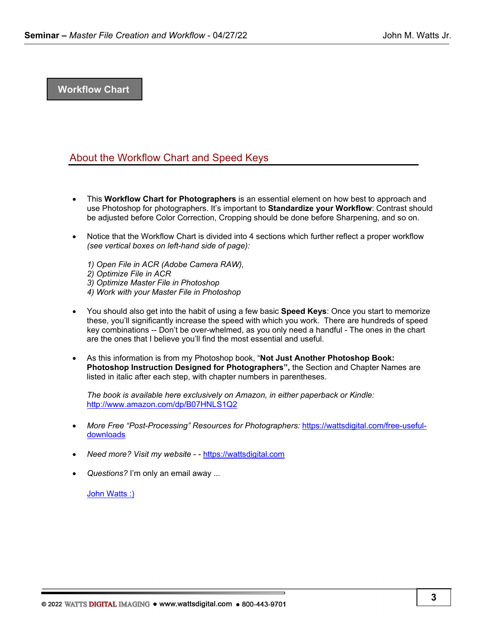## **Workflow Chart**

# About the Workflow Chart and Speed Keys

- This **Workflow Chart for Photographers** is an essential element on how best to approach and use Photoshop for photographers. It's important to **Standardize your Workflow**: Contrast should be adjusted before Color Correction, Cropping should be done before Sharpening, and so on.
- Notice that the Workflow Chart is divided into 4 sections which further reflect a proper workflow *(see vertical boxes on left-hand side of page):*
	- *1) Open File in ACR (Adobe Camera RAW), 2) Optimize File in ACR 3) Optimize Master File in Photoshop 4) Work with your Master File in Photoshop*
- You should also get into the habit of using a few basic **Speed Keys**: Once you start to memorize these, you'll significantly increase the speed with which you work. There are hundreds of speed key combinations -- Don't be over-whelmed, as you only need a handful - The ones in the chart are the ones that I believe you'll find the most essential and useful.
- As this information is from my Photoshop book, "**Not Just Another Photoshop Book: Photoshop Instruction Designed for Photographers",** the Section and Chapter Names are listed in italic after each step, with chapter numbers in parentheses.

*The book is available here exclusively on Amazon, in either paperback or Kindle:*  <http://www.amazon.com/dp/B07HNLS1Q2>

- *More Free "Post-Processing" Resources for Photographers:* [https://wattsdigital.com/free-useful](https://wattsdigital.com/free-useful-downloads)[downloads](https://wattsdigital.com/free-useful-downloads)
- *Need more? Visit my website*  - [https://wattsdigital.com](https://wattsdigital.com/)
- *Questions?* I'm only an email away ...

[John Watts :\)](mailto:john@wattsdigital.com)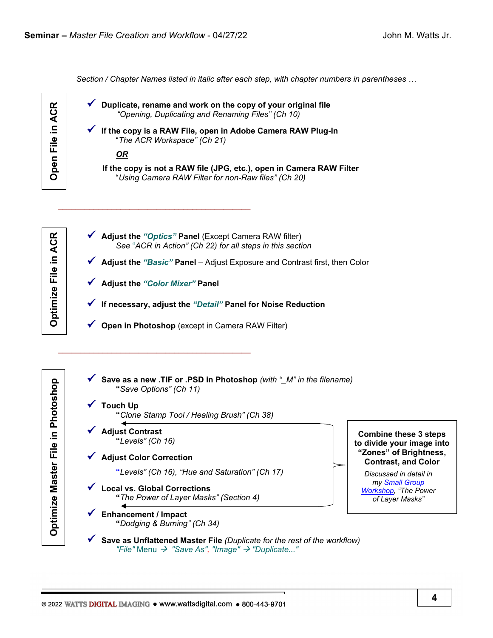*Section / Chapter Names listed in italic after each step, with chapter numbers in parentheses …*



œ

Optimize File in ACI

| Duplicate, rename and work on the copy of your original file<br>"Opening, Duplicating and Renaming Files" (Ch 10)           |
|-----------------------------------------------------------------------------------------------------------------------------|
| If the copy is a RAW File, open in Adobe Camera RAW Plug-In<br>"The ACR Workspace" (Ch 21)                                  |
| <u>OR</u>                                                                                                                   |
| If the copy is not a RAW file (JPG, etc.), open in Camera RAW Filter<br>"Using Camera RAW Filter for non-Raw files" (Ch 20) |
|                                                                                                                             |
|                                                                                                                             |
| Adjust the "Optics" Panel (Except Camera RAW filter)<br>See "ACR in Action" (Ch 22) for all steps in this section           |
| Adjust the "Basic" Panel - Adjust Exposure and Contrast first, then Color                                                   |
| <b>Adjust the "Color Mixer" Panel</b>                                                                                       |
| If necessary, adjust the "Detail" Panel for Noise Reduction                                                                 |

**Optimize Master File in Photoshop Optimize File in ACR**Optimize Master File in Photoshop

 **Save as a new .TIF or .PSD in Photoshop** *(with "\_M" in the filename)*  **"***Save Options" (Ch 11)*

# **Touch Up "***Clone Stamp Tool / Healing Brush" (Ch 38)*

- **Adjust Contrast "***Levels" (Ch 16)*
- **Adjust Color Correction**

 **"***Levels" (Ch 16), "Hue and Saturation" (Ch 17)*

 **Local vs. Global Corrections "***The Power of Layer Masks" (Section 4)*

 **Enhancement / Impact "***Dodging & Burning" (Ch 34)* 

**Combine these 3 steps to divide your image into "Zones" of Brightness, Contrast, and Color**

*Discussed in detail in my [Small Group](https://wattsdigital.com/small-group-workshops)  [Workshop,](https://wattsdigital.com/small-group-workshops) "The Power of Layer Masks"*

 **Save as Unflattened Master File** *(Duplicate for the rest of the workflow) "File"* Menu  *"Save As", "Image" "Duplicate..."*